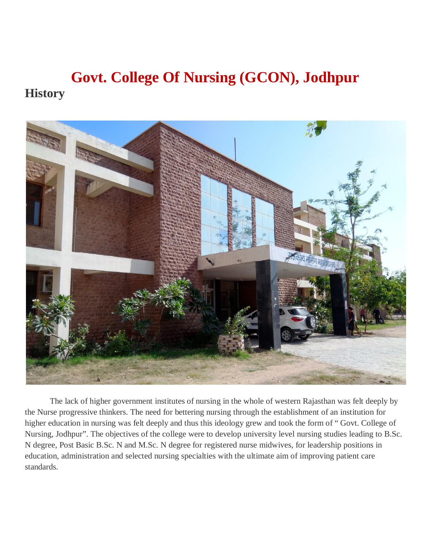# **Govt. College Of Nursing (GCON), Jodhpur History**



The lack of higher government institutes of nursing in the whole of western Rajasthan was felt deeply by the Nurse progressive thinkers. The need for bettering nursing through the establishment of an institution for higher education in nursing was felt deeply and thus this ideology grew and took the form of " Govt. College of Nursing, Jodhpur". The objectives of the college were to develop university level nursing studies leading to B.Sc. N degree, Post Basic B.Sc. N and M.Sc. N degree for registered nurse midwives, for leadership positions in education, administration and selected nursing specialties with the ultimate aim of improving patient care standards.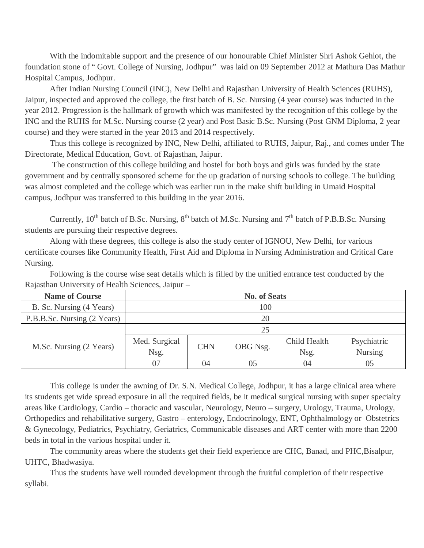With the indomitable support and the presence of our honourable Chief Minister Shri Ashok Gehlot, the foundation stone of " Govt. College of Nursing, Jodhpur" was laid on 09 September 2012 at Mathura Das Mathur Hospital Campus, Jodhpur.

After Indian Nursing Council (INC), New Delhi and Rajasthan University of Health Sciences (RUHS), Jaipur, inspected and approved the college, the first batch of B. Sc. Nursing (4 year course) was inducted in the year 2012. Progression is the hallmark of growth which was manifested by the recognition of this college by the INC and the RUHS for M.Sc. Nursing course (2 year) and Post Basic B.Sc. Nursing (Post GNM Diploma, 2 year course) and they were started in the year 2013 and 2014 respectively.

Thus this college is recognized by INC, New Delhi, affiliated to RUHS, Jaipur, Raj., and comes under The Directorate, Medical Education, Govt. of Rajasthan, Jaipur.

The construction of this college building and hostel for both boys and girls was funded by the state government and by centrally sponsored scheme for the up gradation of nursing schools to college. The building was almost completed and the college which was earlier run in the make shift building in Umaid Hospital campus, Jodhpur was transferred to this building in the year 2016.

Currently,  $10^{th}$  batch of B.Sc. Nursing,  $8^{th}$  batch of M.Sc. Nursing and  $7^{th}$  batch of P.B.B.Sc. Nursing students are pursuing their respective degrees.

Along with these degrees, this college is also the study center of IGNOU, New Delhi, for various certificate courses like Community Health, First Aid and Diploma in Nursing Administration and Critical Care Nursing.

Following is the course wise seat details which is filled by the unified entrance test conducted by the Rajasthan University of Health Sciences, Jaipur –

| <b>Name of Course</b>       | <b>No. of Seats</b> |            |          |              |                |
|-----------------------------|---------------------|------------|----------|--------------|----------------|
| B. Sc. Nursing (4 Years)    | 100                 |            |          |              |                |
| P.B.B.Sc. Nursing (2 Years) | 20                  |            |          |              |                |
|                             | 25                  |            |          |              |                |
|                             | Med. Surgical       |            |          | Child Health | Psychiatric    |
| M.Sc. Nursing (2 Years)     | Nsg.                | <b>CHN</b> | OBG Nsg. | Nsg.         | <b>Nursing</b> |
|                             | 07                  | 04         | 05       | 04           | 05             |

This college is under the awning of Dr. S.N. Medical College, Jodhpur, it has a large clinical area where its students get wide spread exposure in all the required fields, be it medical surgical nursing with super specialty areas like Cardiology, Cardio – thoracic and vascular, Neurology, Neuro – surgery, Urology, Trauma, Urology, Orthopedics and rehabilitative surgery, Gastro – enterology, Endocrinology, ENT, Ophthalmology or Obstetrics & Gynecology, Pediatrics, Psychiatry, Geriatrics, Communicable diseases and ART center with more than 2200 beds in total in the various hospital under it.

The community areas where the students get their field experience are CHC, Banad, and PHC,Bisalpur, UHTC, Bhadwasiya.

Thus the students have well rounded development through the fruitful completion of their respective syllabi.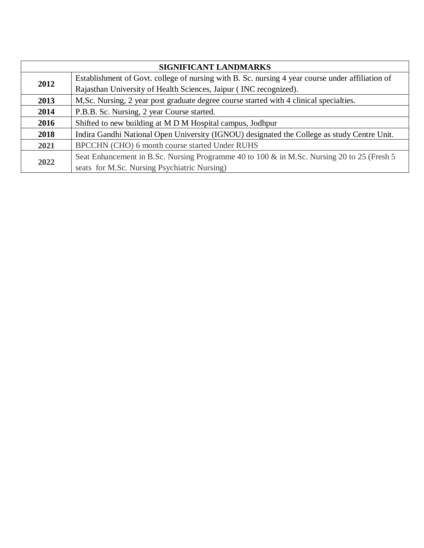| SIGNIFICANT LANDMARKS |                                                                                                  |  |
|-----------------------|--------------------------------------------------------------------------------------------------|--|
| 2012                  | Establishment of Govt. college of nursing with B. Sc. nursing 4 year course under affiliation of |  |
|                       | Rajasthan University of Health Sciences, Jaipur (INC recognized).                                |  |
| 2013                  | M, Sc. Nursing, 2 year post graduate degree course started with 4 clinical specialties.          |  |
| 2014                  | P.B.B. Sc. Nursing, 2 year Course started.                                                       |  |
| 2016                  | Shifted to new building at M D M Hospital campus, Jodhpur                                        |  |
| 2018                  | Indira Gandhi National Open University (IGNOU) designated the College as study Centre Unit.      |  |
| 2021                  | BPCCHN (CHO) 6 month course started Under RUHS                                                   |  |
| 2022                  | Seat Enhancement in B.Sc. Nursing Programme 40 to 100 & in M.Sc. Nursing 20 to 25 (Fresh 5)      |  |
|                       | seats for M.Sc. Nursing Psychiatric Nursing)                                                     |  |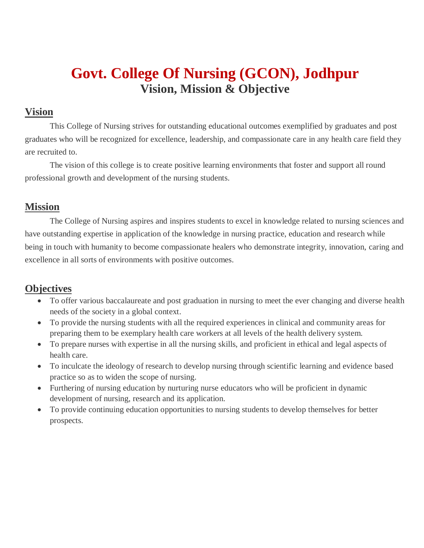# **Govt. College Of Nursing (GCON), Jodhpur Vision, Mission & Objective**

## **Vision**

This College of Nursing strives for outstanding educational outcomes exemplified by graduates and post graduates who will be recognized for excellence, leadership, and compassionate care in any health care field they are recruited to.

The vision of this college is to create positive learning environments that foster and support all round professional growth and development of the nursing students.

## **Mission**

The College of Nursing aspires and inspires students to excel in knowledge related to nursing sciences and have outstanding expertise in application of the knowledge in nursing practice, education and research while being in touch with humanity to become compassionate healers who demonstrate integrity, innovation, caring and excellence in all sorts of environments with positive outcomes.

## **Objectives**

- To offer various baccalaureate and post graduation in nursing to meet the ever changing and diverse health needs of the society in a global context.
- To provide the nursing students with all the required experiences in clinical and community areas for preparing them to be exemplary health care workers at all levels of the health delivery system.
- To prepare nurses with expertise in all the nursing skills, and proficient in ethical and legal aspects of health care.
- To inculcate the ideology of research to develop nursing through scientific learning and evidence based practice so as to widen the scope of nursing.
- Furthering of nursing education by nurturing nurse educators who will be proficient in dynamic development of nursing, research and its application.
- To provide continuing education opportunities to nursing students to develop themselves for better prospects.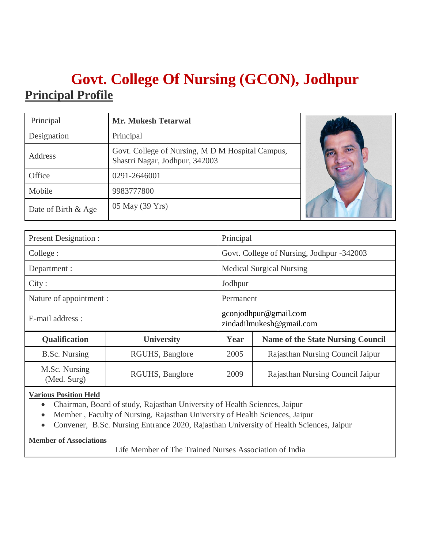# **Govt. College Of Nursing (GCON), Jodhpur Principal Profile**

| Principal           | <b>Mr. Mukesh Tetarwal</b>                                                         |  |
|---------------------|------------------------------------------------------------------------------------|--|
| Designation         | Principal                                                                          |  |
| Address             | Govt. College of Nursing, M D M Hospital Campus,<br>Shastri Nagar, Jodhpur, 342003 |  |
| Office              | 0291-2646001                                                                       |  |
| Mobile              | 9983777800                                                                         |  |
| Date of Birth & Age | 05 May (39 Yrs)                                                                    |  |

| <b>Present Designation:</b>                     |                                      |         | Principal                                         |  |  |
|-------------------------------------------------|--------------------------------------|---------|---------------------------------------------------|--|--|
| College :                                       |                                      |         | Govt. College of Nursing, Jodhpur -342003         |  |  |
| Department :                                    |                                      |         | <b>Medical Surgical Nursing</b>                   |  |  |
| City:                                           |                                      | Jodhpur |                                                   |  |  |
|                                                 | Nature of appointment :<br>Permanent |         |                                                   |  |  |
| E-mail address :                                |                                      |         | gconjodhpur@gmail.com<br>zindadilmukesh@gmail.com |  |  |
| <b>Qualification</b>                            | <b>University</b>                    | Year    | <b>Name of the State Nursing Council</b>          |  |  |
| <b>B.Sc.</b> Nursing                            | RGUHS, Banglore                      | 2005    | Rajasthan Nursing Council Jaipur                  |  |  |
| M.Sc. Nursing<br>RGUHS, Banglore<br>(Med. Surg) |                                      | 2009    | Rajasthan Nursing Council Jaipur                  |  |  |

#### **Various Position Held**

- Chairman, Board of study, Rajasthan University of Health Sciences, Jaipur
- Member , Faculty of Nursing, Rajasthan University of Health Sciences, Jaipur
- Convener, B.Sc. Nursing Entrance 2020, Rajasthan University of Health Sciences, Jaipur

#### **Member of Associations**

Life Member of The Trained Nurses Association of India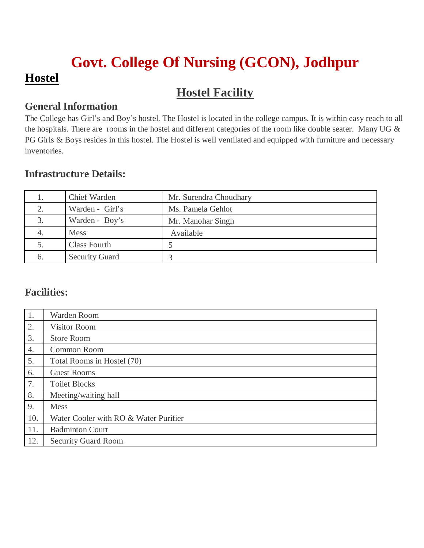# **Govt. College Of Nursing (GCON), Jodhpur Hostel**

# **Hostel Facility**

## **General Information**

The College has Girl's and Boy's hostel. The Hostel is located in the college campus. It is within easy reach to all the hospitals. There are rooms in the hostel and different categories of the room like double seater. Many UG & PG Girls & Boys resides in this hostel. The Hostel is well ventilated and equipped with furniture and necessary inventories.

## **Infrastructure Details:**

|    | Chief Warden          | Mr. Surendra Choudhary |
|----|-----------------------|------------------------|
| 2. | Warden - Girl's       | Ms. Pamela Gehlot      |
| 3. | Warden - Boy's        | Mr. Manohar Singh      |
| 4. | <b>Mess</b>           | Available              |
|    | Class Fourth          |                        |
| 6. | <b>Security Guard</b> |                        |

## **Facilities:**

| 1.  | Warden Room                           |
|-----|---------------------------------------|
| 2.  | <b>Visitor Room</b>                   |
| 3.  | <b>Store Room</b>                     |
| 4.  | Common Room                           |
| 5.  | Total Rooms in Hostel (70)            |
| 6.  | <b>Guest Rooms</b>                    |
| 7.  | <b>Toilet Blocks</b>                  |
| 8.  | Meeting/waiting hall                  |
| 9.  | <b>Mess</b>                           |
| 10. | Water Cooler with RO & Water Purifier |
| 11. | <b>Badminton Court</b>                |
| 12. | <b>Security Guard Room</b>            |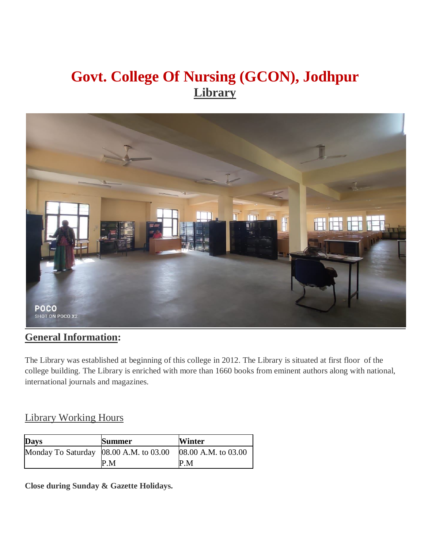# **Govt. College Of Nursing (GCON), Jodhpur Library**



## **General Information:**

The Library was established at beginning of this college in 2012. The Library is situated at first floor of the college building. The Library is enriched with more than 1660 books from eminent authors along with national, international journals and magazines.

### Library Working Hours

| <b>Days</b>                            | <b>Summer</b> | <b>Winter</b>       |
|----------------------------------------|---------------|---------------------|
| Monday To Saturday 08.00 A.M. to 03.00 |               | 08.00 A.M. to 03.00 |
|                                        | P.M           | P.M                 |

**Close during Sunday & Gazette Holidays.**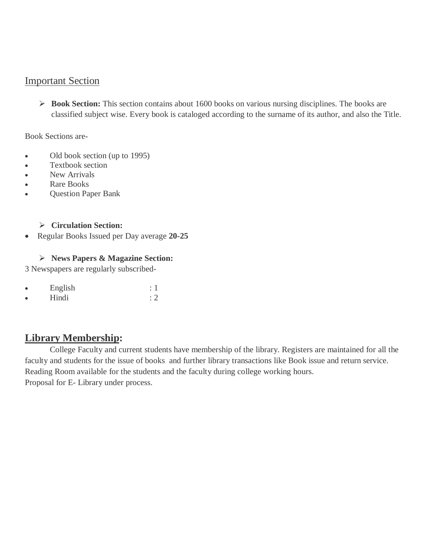### Important Section

 **Book Section:** This section contains about 1600 books on various nursing disciplines. The books are classified subject wise. Every book is cataloged according to the surname of its author, and also the Title.

#### Book Sections are-

- Old book section (up to 1995)
- Textbook section
- New Arrivals
- Rare Books
- Question Paper Bank

#### **Circulation Section:**

Regular Books Issued per Day average **20-25**

### **News Papers & Magazine Section:**

3 Newspapers are regularly subscribed-

| English |  |
|---------|--|
| TT111   |  |

 $\bullet$  Hindi : 2

## **Library Membership:**

College Faculty and current students have membership of the library. Registers are maintained for all the faculty and students for the issue of books and further library transactions like Book issue and return service. Reading Room available for the students and the faculty during college working hours. Proposal for E- Library under process.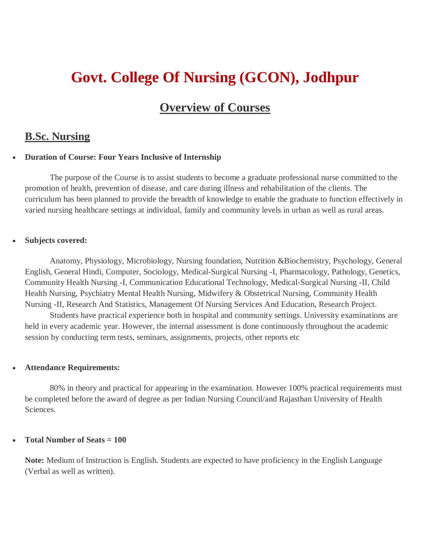# **Govt. College Of Nursing (GCON), Jodhpur**

## **Overview of Courses**

### **B.Sc. Nursing**

#### **Duration of Course: Four Years Inclusive of Internship**

The purpose of the Course is to assist students to become a graduate professional nurse committed to the promotion of health, prevention of disease, and care during illness and rehabilitation of the clients. The curriculum has been planned to provide the breadth of knowledge to enable the graduate to function effectively in varied nursing healthcare settings at individual, family and community levels in urban as well as rural areas.

#### **Subjects covered:**

Anatomy, Physiology, Microbiology, Nursing foundation, Nutrition &Biochemistry, Psychology, General English, General Hindi, Computer, Sociology, Medical-Surgical Nursing -I, Pharmacology, Pathology, Genetics, Community Health Nursing -I, Communication Educational Technology, Medical-Surgical Nursing -II, Child Health Nursing, Psychiatry Mental Health Nursing, Midwifery & Obstetrical Nursing, Community Health Nursing -II, Research And Statistics, Management Of Nursing Services And Education, Research Project.

Students have practical experience both in hospital and community settings. University examinations are held in every academic year. However, the internal assessment is done continuously throughout the academic session by conducting term tests, seminars, assignments, projects, other reports etc

#### **Attendance Requirements:**

80% in theory and practical for appearing in the examination. However 100% practical requirements must be completed before the award of degree as per Indian Nursing Council/and Rajasthan University of Health Sciences.

#### **Total Number of Seats = 100**

**Note:** Medium of Instruction is English. Students are expected to have proficiency in the English Language (Verbal as well as written).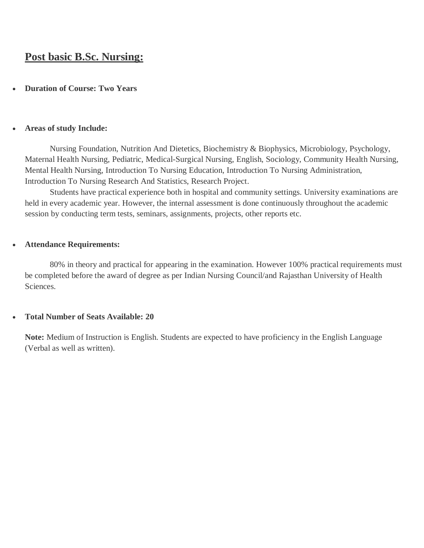## **Post basic B.Sc. Nursing:**

#### **Duration of Course: Two Years**

#### **Areas of study Include:**

Nursing Foundation, Nutrition And Dietetics, Biochemistry & Biophysics, Microbiology, Psychology, Maternal Health Nursing, Pediatric, Medical-Surgical Nursing, English, Sociology, Community Health Nursing, Mental Health Nursing, Introduction To Nursing Education, Introduction To Nursing Administration, Introduction To Nursing Research And Statistics, Research Project.

Students have practical experience both in hospital and community settings. University examinations are held in every academic year. However, the internal assessment is done continuously throughout the academic session by conducting term tests, seminars, assignments, projects, other reports etc.

#### **Attendance Requirements:**

80% in theory and practical for appearing in the examination. However 100% practical requirements must be completed before the award of degree as per Indian Nursing Council/and Rajasthan University of Health Sciences.

#### **Total Number of Seats Available: 20**

**Note:** Medium of Instruction is English. Students are expected to have proficiency in the English Language (Verbal as well as written).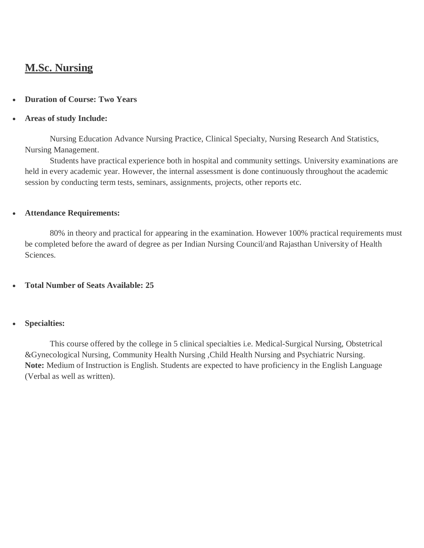## **M.Sc. Nursing**

#### **Duration of Course: Two Years**

#### **Areas of study Include:**

Nursing Education Advance Nursing Practice, Clinical Specialty, Nursing Research And Statistics, Nursing Management.

Students have practical experience both in hospital and community settings. University examinations are held in every academic year. However, the internal assessment is done continuously throughout the academic session by conducting term tests, seminars, assignments, projects, other reports etc.

### **Attendance Requirements:**

80% in theory and practical for appearing in the examination. However 100% practical requirements must be completed before the award of degree as per Indian Nursing Council/and Rajasthan University of Health Sciences.

### **Total Number of Seats Available: 25**

### **Specialties:**

This course offered by the college in 5 clinical specialties i.e. Medical-Surgical Nursing, Obstetrical &Gynecological Nursing, Community Health Nursing ,Child Health Nursing and Psychiatric Nursing. **Note:** Medium of Instruction is English. Students are expected to have proficiency in the English Language (Verbal as well as written).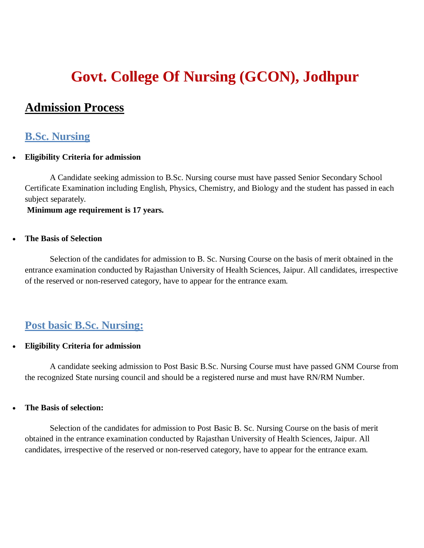# **Govt. College Of Nursing (GCON), Jodhpur**

## **Admission Process**

### **B.Sc. Nursing**

#### **Eligibility Criteria for admission**

A Candidate seeking admission to B.Sc. Nursing course must have passed Senior Secondary School Certificate Examination including English, Physics, Chemistry, and Biology and the student has passed in each subject separately.

#### **Minimum age requirement is 17 years.**

#### **The Basis of Selection**

Selection of the candidates for admission to B. Sc. Nursing Course on the basis of merit obtained in the entrance examination conducted by Rajasthan University of Health Sciences, Jaipur. All candidates, irrespective of the reserved or non-reserved category, have to appear for the entrance exam.

### **Post basic B.Sc. Nursing:**

#### **Eligibility Criteria for admission**

A candidate seeking admission to Post Basic B.Sc. Nursing Course must have passed GNM Course from the recognized State nursing council and should be a registered nurse and must have RN/RM Number.

#### **The Basis of selection:**

Selection of the candidates for admission to Post Basic B. Sc. Nursing Course on the basis of merit obtained in the entrance examination conducted by Rajasthan University of Health Sciences, Jaipur. All candidates, irrespective of the reserved or non-reserved category, have to appear for the entrance exam.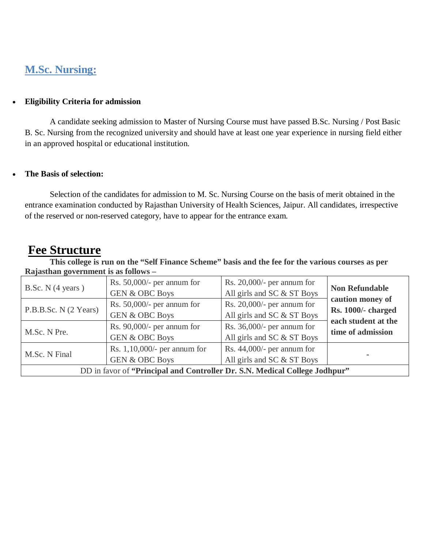## **M.Sc. Nursing:**

#### **Eligibility Criteria for admission**

A candidate seeking admission to Master of Nursing Course must have passed B.Sc. Nursing / Post Basic B. Sc. Nursing from the recognized university and should have at least one year experience in nursing field either in an approved hospital or educational institution.

#### **The Basis of selection:**

Selection of the candidates for admission to M. Sc. Nursing Course on the basis of merit obtained in the entrance examination conducted by Rajasthan University of Health Sciences, Jaipur. All candidates, irrespective of the reserved or non-reserved category, have to appear for the entrance exam.

# **Fee Structure**

 $\mathbf{I}$ 

**This college is run on the "Self Finance Scheme" basis and the fee for the various courses as per Rajasthan government is as follows –**

| B.Sc. $N$ (4 years)   | Rs. $50,000/$ - per annum for<br><b>GEN &amp; OBC Boys</b>   | Rs. $20,000/$ - per annum for<br>All girls and SC & ST Boys | <b>Non Refundable</b>     |
|-----------------------|--------------------------------------------------------------|-------------------------------------------------------------|---------------------------|
| P.B.B.Sc. N (2 Years) | Rs. $50,000/$ - per annum for                                | Rs. $20,000/$ - per annum for                               | caution money of          |
|                       | <b>GEN &amp; OBC Boys</b>                                    | All girls and SC & ST Boys                                  | <b>Rs. 1000/- charged</b> |
| M.Sc. N Pre.          | Rs. $90,000/$ - per annum for                                | Rs. $36,000/$ - per annum for                               | each student at the       |
|                       | <b>GEN &amp; OBC Boys</b>                                    | All girls and SC & ST Boys                                  | time of admission         |
| M.Sc. N Final         | Rs. $1,10,000/$ - per annum for<br><b>GEN &amp; OBC Boys</b> | Rs. $44,000/$ - per annum for<br>All girls and SC & ST Boys |                           |

DD in favor of **"Principal and Controller Dr. S.N. Medical College Jodhpur"**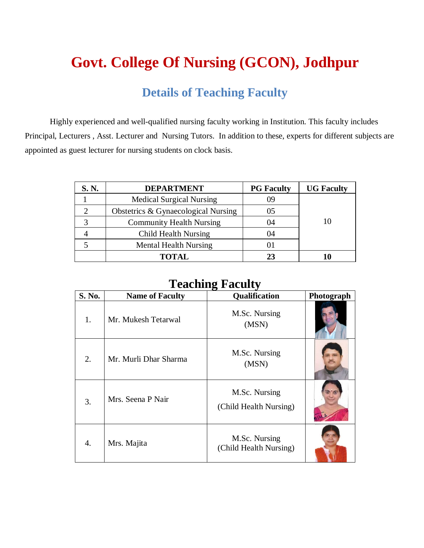# **Govt. College Of Nursing (GCON), Jodhpur**

# **Details of Teaching Faculty**

Highly experienced and well-qualified nursing faculty working in Institution. This faculty includes Principal, Lecturers , Asst. Lecturer and Nursing Tutors. In addition to these, experts for different subjects are appointed as guest lecturer for nursing students on clock basis.

| S. N. | <b>DEPARTMENT</b>                   | <b>PG</b> Faculty | <b>UG Faculty</b> |
|-------|-------------------------------------|-------------------|-------------------|
|       | <b>Medical Surgical Nursing</b>     | 09                |                   |
|       | Obstetrics & Gynaecological Nursing | 05                |                   |
| 2     | <b>Community Health Nursing</b>     | 04                |                   |
|       | <b>Child Health Nursing</b>         | 04                |                   |
|       | <b>Mental Health Nursing</b>        | O I               |                   |
|       | <b>TOTAL</b>                        | 23                |                   |

## **Teaching Faculty**

| <b>S. No.</b> | <b>Name of Faculty</b> | Qualification                           | Photograph |
|---------------|------------------------|-----------------------------------------|------------|
| 1.            | Mr. Mukesh Tetarwal    | M.Sc. Nursing<br>(MSN)                  |            |
| 2.            | Mr. Murli Dhar Sharma  | M.Sc. Nursing<br>(MSN)                  |            |
| 3.            | Mrs. Seena P Nair      | M.Sc. Nursing<br>(Child Health Nursing) |            |
| 4.            | Mrs. Majita            | M.Sc. Nursing<br>(Child Health Nursing) |            |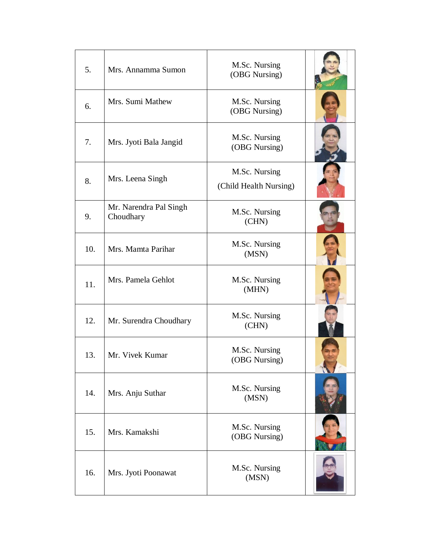| 5.  | Mrs. Annamma Sumon                  | M.Sc. Nursing<br>(OBG Nursing)          |  |
|-----|-------------------------------------|-----------------------------------------|--|
| 6.  | Mrs. Sumi Mathew                    | M.Sc. Nursing<br>(OBG Nursing)          |  |
| 7.  | Mrs. Jyoti Bala Jangid              | M.Sc. Nursing<br>(OBG Nursing)          |  |
| 8.  | Mrs. Leena Singh                    | M.Sc. Nursing<br>(Child Health Nursing) |  |
| 9.  | Mr. Narendra Pal Singh<br>Choudhary | M.Sc. Nursing<br>(CHN)                  |  |
| 10. | Mrs. Mamta Parihar                  | M.Sc. Nursing<br>(MSN)                  |  |
| 11. | Mrs. Pamela Gehlot                  | M.Sc. Nursing<br>(MHN)                  |  |
| 12. | Mr. Surendra Choudhary              | M.Sc. Nursing<br>(CHN)                  |  |
| 13. | Mr. Vivek Kumar                     | M.Sc. Nursing<br>(OBG Nursing)          |  |
| 14. | Mrs. Anju Suthar                    | M.Sc. Nursing<br>(MSN)                  |  |
| 15. | Mrs. Kamakshi                       | M.Sc. Nursing<br>(OBG Nursing)          |  |
| 16. | Mrs. Jyoti Poonawat                 | M.Sc. Nursing<br>(MSN)                  |  |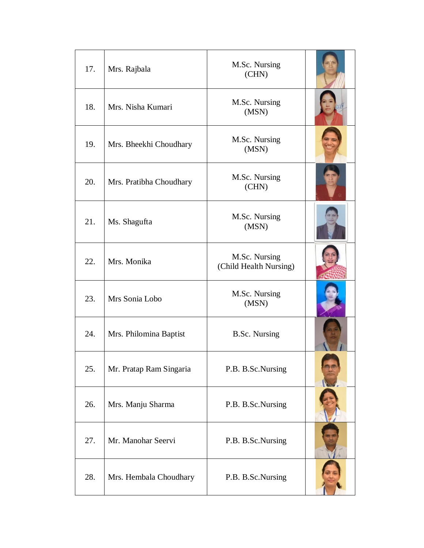| 17. | Mrs. Rajbala            | M.Sc. Nursing<br>(CHN)                  |  |
|-----|-------------------------|-----------------------------------------|--|
| 18. | Mrs. Nisha Kumari       | M.Sc. Nursing<br>(MSN)                  |  |
| 19. | Mrs. Bheekhi Choudhary  | M.Sc. Nursing<br>(MSN)                  |  |
| 20. | Mrs. Pratibha Choudhary | M.Sc. Nursing<br>(CHN)                  |  |
| 21. | Ms. Shagufta            | M.Sc. Nursing<br>(MSN)                  |  |
| 22. | Mrs. Monika             | M.Sc. Nursing<br>(Child Health Nursing) |  |
| 23. | Mrs Sonia Lobo          | M.Sc. Nursing<br>(MSN)                  |  |
| 24. | Mrs. Philomina Baptist  | <b>B.Sc. Nursing</b>                    |  |
| 25. | Mr. Pratap Ram Singaria | P.B. B.Sc.Nursing                       |  |
| 26. | Mrs. Manju Sharma       | P.B. B.Sc.Nursing                       |  |
| 27. | Mr. Manohar Seervi      | P.B. B.Sc.Nursing                       |  |
| 28. | Mrs. Hembala Choudhary  | P.B. B.Sc.Nursing                       |  |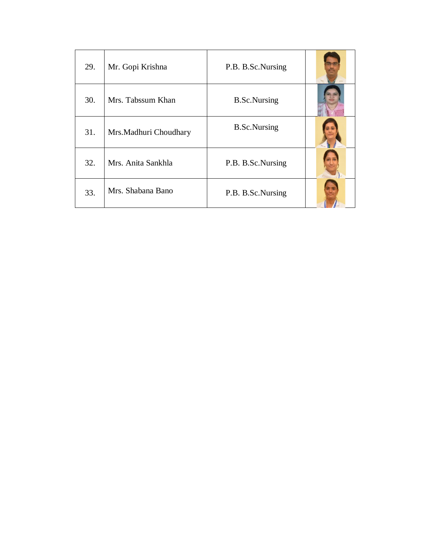| 29. | Mr. Gopi Krishna       | P.B. B.Sc.Nursing   |  |
|-----|------------------------|---------------------|--|
| 30. | Mrs. Tabssum Khan      | <b>B.Sc.Nursing</b> |  |
| 31. | Mrs. Madhuri Choudhary | <b>B.Sc.Nursing</b> |  |
| 32. | Mrs. Anita Sankhla     | P.B. B.Sc.Nursing   |  |
| 33. | Mrs. Shabana Bano      | P.B. B.Sc.Nursing   |  |